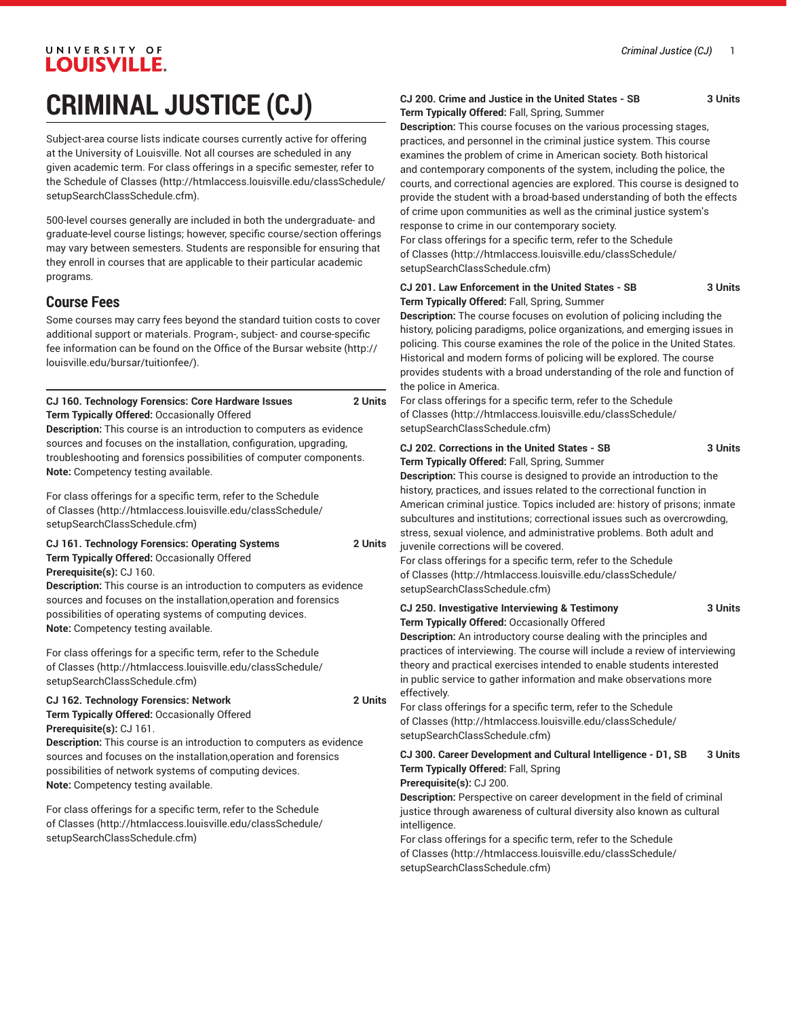# **CRIMINAL JUSTICE (CJ)**

Subject-area course lists indicate courses currently active for offering at the University of Louisville. Not all courses are scheduled in any given academic term. For class offerings in a specific semester, refer to the [Schedule of Classes](http://htmlaccess.louisville.edu/classSchedule/setupSearchClassSchedule.cfm) ([http://htmlaccess.louisville.edu/classSchedule/](http://htmlaccess.louisville.edu/classSchedule/setupSearchClassSchedule.cfm) [setupSearchClassSchedule.cfm\)](http://htmlaccess.louisville.edu/classSchedule/setupSearchClassSchedule.cfm).

500-level courses generally are included in both the undergraduate- and graduate-level course listings; however, specific course/section offerings may vary between semesters. Students are responsible for ensuring that they enroll in courses that are applicable to their particular academic programs.

### **Course Fees**

Some courses may carry fees beyond the standard tuition costs to cover additional support or materials. Program-, subject- and course-specific fee information can be found on the [Office of the Bursar website](http://louisville.edu/bursar/tuitionfee/) ([http://](http://louisville.edu/bursar/tuitionfee/) [louisville.edu/bursar/tuitionfee/](http://louisville.edu/bursar/tuitionfee/)).

**CJ 160. Technology Forensics: Core Hardware Issues 2 Units Term Typically Offered:** Occasionally Offered

**Description:** This course is an introduction to computers as evidence sources and focuses on the installation, configuration, upgrading, troubleshooting and forensics possibilities of computer components. **Note:** Competency testing available.

For class offerings for a specific term, refer to the [Schedule](http://htmlaccess.louisville.edu/classSchedule/setupSearchClassSchedule.cfm) [of Classes \(http://htmlaccess.louisville.edu/classSchedule/](http://htmlaccess.louisville.edu/classSchedule/setupSearchClassSchedule.cfm) [setupSearchClassSchedule.cfm\)](http://htmlaccess.louisville.edu/classSchedule/setupSearchClassSchedule.cfm)

**CJ 161. Technology Forensics: Operating Systems 2 Units Term Typically Offered:** Occasionally Offered **Prerequisite(s):** CJ 160.

**Description:** This course is an introduction to computers as evidence sources and focuses on the installation,operation and forensics possibilities of operating systems of computing devices. **Note:** Competency testing available.

For class offerings for a specific term, refer to the [Schedule](http://htmlaccess.louisville.edu/classSchedule/setupSearchClassSchedule.cfm) [of Classes \(http://htmlaccess.louisville.edu/classSchedule/](http://htmlaccess.louisville.edu/classSchedule/setupSearchClassSchedule.cfm) [setupSearchClassSchedule.cfm\)](http://htmlaccess.louisville.edu/classSchedule/setupSearchClassSchedule.cfm)

#### **CJ 162. Technology Forensics: Network 2 Units Term Typically Offered:** Occasionally Offered **Prerequisite(s):** CJ 161.

**Description:** This course is an introduction to computers as evidence sources and focuses on the installation,operation and forensics possibilities of network systems of computing devices. **Note:** Competency testing available.

For class offerings for a specific term, refer to the [Schedule](http://htmlaccess.louisville.edu/classSchedule/setupSearchClassSchedule.cfm) [of Classes \(http://htmlaccess.louisville.edu/classSchedule/](http://htmlaccess.louisville.edu/classSchedule/setupSearchClassSchedule.cfm) [setupSearchClassSchedule.cfm\)](http://htmlaccess.louisville.edu/classSchedule/setupSearchClassSchedule.cfm)

#### **CJ 200. Crime and Justice in the United States - SB 3 Units Term Typically Offered:** Fall, Spring, Summer

**Description:** This course focuses on the various processing stages, practices, and personnel in the criminal justice system. This course examines the problem of crime in American society. Both historical and contemporary components of the system, including the police, the courts, and correctional agencies are explored. This course is designed to provide the student with a broad-based understanding of both the effects of crime upon communities as well as the criminal justice system's response to crime in our contemporary society.

For class offerings for a specific term, refer to the [Schedule](http://htmlaccess.louisville.edu/classSchedule/setupSearchClassSchedule.cfm) [of Classes](http://htmlaccess.louisville.edu/classSchedule/setupSearchClassSchedule.cfm) ([http://htmlaccess.louisville.edu/classSchedule/](http://htmlaccess.louisville.edu/classSchedule/setupSearchClassSchedule.cfm) [setupSearchClassSchedule.cfm\)](http://htmlaccess.louisville.edu/classSchedule/setupSearchClassSchedule.cfm)

| CJ 201. Law Enforcement in the United States - SB | 3 Units |
|---------------------------------------------------|---------|
| Term Typically Offered: Fall, Spring, Summer      |         |

**Description:** The course focuses on evolution of policing including the history, policing paradigms, police organizations, and emerging issues in policing. This course examines the role of the police in the United States. Historical and modern forms of policing will be explored. The course provides students with a broad understanding of the role and function of the police in America.

For class offerings for a specific term, refer to the [Schedule](http://htmlaccess.louisville.edu/classSchedule/setupSearchClassSchedule.cfm) [of Classes](http://htmlaccess.louisville.edu/classSchedule/setupSearchClassSchedule.cfm) ([http://htmlaccess.louisville.edu/classSchedule/](http://htmlaccess.louisville.edu/classSchedule/setupSearchClassSchedule.cfm) [setupSearchClassSchedule.cfm\)](http://htmlaccess.louisville.edu/classSchedule/setupSearchClassSchedule.cfm)

**CJ 202. Corrections in the United States - SB 3 Units Term Typically Offered:** Fall, Spring, Summer

**Description:** This course is designed to provide an introduction to the history, practices, and issues related to the correctional function in American criminal justice. Topics included are: history of prisons; inmate subcultures and institutions; correctional issues such as overcrowding, stress, sexual violence, and administrative problems. Both adult and juvenile corrections will be covered.

For class offerings for a specific term, refer to the [Schedule](http://htmlaccess.louisville.edu/classSchedule/setupSearchClassSchedule.cfm) [of Classes](http://htmlaccess.louisville.edu/classSchedule/setupSearchClassSchedule.cfm) ([http://htmlaccess.louisville.edu/classSchedule/](http://htmlaccess.louisville.edu/classSchedule/setupSearchClassSchedule.cfm) [setupSearchClassSchedule.cfm\)](http://htmlaccess.louisville.edu/classSchedule/setupSearchClassSchedule.cfm)

**CJ 250. Investigative Interviewing & Testimony 3 Units Term Typically Offered:** Occasionally Offered

**Description:** An introductory course dealing with the principles and practices of interviewing. The course will include a review of interviewing theory and practical exercises intended to enable students interested in public service to gather information and make observations more effectively.

For class offerings for a specific term, refer to the [Schedule](http://htmlaccess.louisville.edu/classSchedule/setupSearchClassSchedule.cfm) [of Classes](http://htmlaccess.louisville.edu/classSchedule/setupSearchClassSchedule.cfm) ([http://htmlaccess.louisville.edu/classSchedule/](http://htmlaccess.louisville.edu/classSchedule/setupSearchClassSchedule.cfm) [setupSearchClassSchedule.cfm\)](http://htmlaccess.louisville.edu/classSchedule/setupSearchClassSchedule.cfm)

#### **CJ 300. Career Development and Cultural Intelligence - D1, SB 3 Units Term Typically Offered:** Fall, Spring

#### **Prerequisite(s):** CJ 200.

**Description:** Perspective on career development in the field of criminal justice through awareness of cultural diversity also known as cultural intelligence.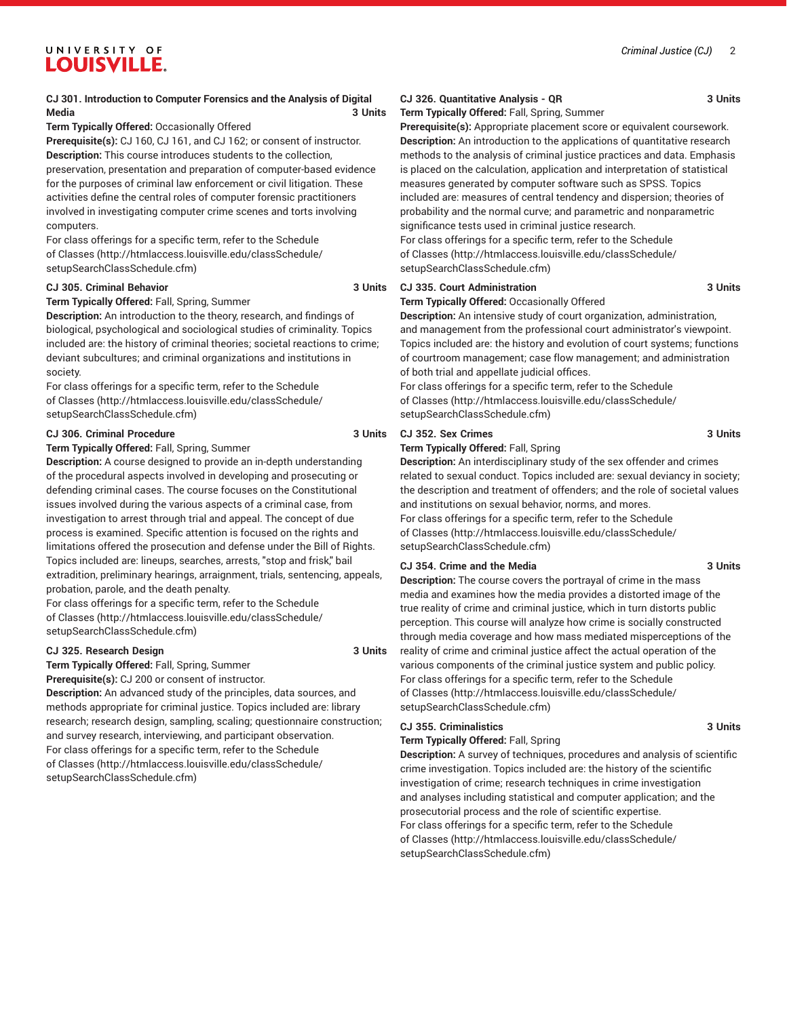#### **CJ 301. Introduction to Computer Forensics and the Analysis of Digital Media 3 Units**

#### **Term Typically Offered:** Occasionally Offered

**Prerequisite(s):** CJ 160, CJ 161, and CJ 162; or consent of instructor. **Description:** This course introduces students to the collection, preservation, presentation and preparation of computer-based evidence for the purposes of criminal law enforcement or civil litigation. These activities define the central roles of computer forensic practitioners involved in investigating computer crime scenes and torts involving computers.

For class offerings for a specific term, refer to the [Schedule](http://htmlaccess.louisville.edu/classSchedule/setupSearchClassSchedule.cfm) [of Classes \(http://htmlaccess.louisville.edu/classSchedule/](http://htmlaccess.louisville.edu/classSchedule/setupSearchClassSchedule.cfm) [setupSearchClassSchedule.cfm\)](http://htmlaccess.louisville.edu/classSchedule/setupSearchClassSchedule.cfm)

#### **CJ 305. Criminal Behavior 3 Units**

#### **Term Typically Offered:** Fall, Spring, Summer

**Description:** An introduction to the theory, research, and findings of biological, psychological and sociological studies of criminality. Topics included are: the history of criminal theories; societal reactions to crime; deviant subcultures; and criminal organizations and institutions in society.

For class offerings for a specific term, refer to the [Schedule](http://htmlaccess.louisville.edu/classSchedule/setupSearchClassSchedule.cfm) [of Classes \(http://htmlaccess.louisville.edu/classSchedule/](http://htmlaccess.louisville.edu/classSchedule/setupSearchClassSchedule.cfm) [setupSearchClassSchedule.cfm\)](http://htmlaccess.louisville.edu/classSchedule/setupSearchClassSchedule.cfm)

#### **CJ 306. Criminal Procedure 3 Units**

#### **Term Typically Offered:** Fall, Spring, Summer

**Description:** A course designed to provide an in-depth understanding of the procedural aspects involved in developing and prosecuting or defending criminal cases. The course focuses on the Constitutional issues involved during the various aspects of a criminal case, from investigation to arrest through trial and appeal. The concept of due process is examined. Specific attention is focused on the rights and limitations offered the prosecution and defense under the Bill of Rights. Topics included are: lineups, searches, arrests, "stop and frisk," bail extradition, preliminary hearings, arraignment, trials, sentencing, appeals, probation, parole, and the death penalty.

For class offerings for a specific term, refer to the [Schedule](http://htmlaccess.louisville.edu/classSchedule/setupSearchClassSchedule.cfm) [of Classes \(http://htmlaccess.louisville.edu/classSchedule/](http://htmlaccess.louisville.edu/classSchedule/setupSearchClassSchedule.cfm) [setupSearchClassSchedule.cfm\)](http://htmlaccess.louisville.edu/classSchedule/setupSearchClassSchedule.cfm)

#### **CJ 325. Research Design 3 Units**

**Term Typically Offered:** Fall, Spring, Summer

**Prerequisite(s):** CJ 200 or consent of instructor.

**Description:** An advanced study of the principles, data sources, and methods appropriate for criminal justice. Topics included are: library research; research design, sampling, scaling; questionnaire construction; and survey research, interviewing, and participant observation. For class offerings for a specific term, refer to the [Schedule](http://htmlaccess.louisville.edu/classSchedule/setupSearchClassSchedule.cfm) [of Classes \(http://htmlaccess.louisville.edu/classSchedule/](http://htmlaccess.louisville.edu/classSchedule/setupSearchClassSchedule.cfm) [setupSearchClassSchedule.cfm\)](http://htmlaccess.louisville.edu/classSchedule/setupSearchClassSchedule.cfm)

#### **CJ 326. Quantitative Analysis - QR 3 Units**

**Term Typically Offered:** Fall, Spring, Summer

**Prerequisite(s):** Appropriate placement score or equivalent coursework. **Description:** An introduction to the applications of quantitative research methods to the analysis of criminal justice practices and data. Emphasis is placed on the calculation, application and interpretation of statistical measures generated by computer software such as SPSS. Topics included are: measures of central tendency and dispersion; theories of probability and the normal curve; and parametric and nonparametric significance tests used in criminal justice research.

For class offerings for a specific term, refer to the [Schedule](http://htmlaccess.louisville.edu/classSchedule/setupSearchClassSchedule.cfm) [of Classes](http://htmlaccess.louisville.edu/classSchedule/setupSearchClassSchedule.cfm) ([http://htmlaccess.louisville.edu/classSchedule/](http://htmlaccess.louisville.edu/classSchedule/setupSearchClassSchedule.cfm) [setupSearchClassSchedule.cfm\)](http://htmlaccess.louisville.edu/classSchedule/setupSearchClassSchedule.cfm)

#### **CJ 335. Court Administration 3 Units**

#### **Term Typically Offered:** Occasionally Offered

**Description:** An intensive study of court organization, administration, and management from the professional court administrator's viewpoint. Topics included are: the history and evolution of court systems; functions of courtroom management; case flow management; and administration of both trial and appellate judicial offices.

For class offerings for a specific term, refer to the [Schedule](http://htmlaccess.louisville.edu/classSchedule/setupSearchClassSchedule.cfm) [of Classes](http://htmlaccess.louisville.edu/classSchedule/setupSearchClassSchedule.cfm) ([http://htmlaccess.louisville.edu/classSchedule/](http://htmlaccess.louisville.edu/classSchedule/setupSearchClassSchedule.cfm) [setupSearchClassSchedule.cfm\)](http://htmlaccess.louisville.edu/classSchedule/setupSearchClassSchedule.cfm)

#### **CJ 352. Sex Crimes 3 Units**

#### **Term Typically Offered:** Fall, Spring

**Description:** An interdisciplinary study of the sex offender and crimes related to sexual conduct. Topics included are: sexual deviancy in society; the description and treatment of offenders; and the role of societal values and institutions on sexual behavior, norms, and mores. For class offerings for a specific term, refer to the [Schedule](http://htmlaccess.louisville.edu/classSchedule/setupSearchClassSchedule.cfm) [of Classes](http://htmlaccess.louisville.edu/classSchedule/setupSearchClassSchedule.cfm) ([http://htmlaccess.louisville.edu/classSchedule/](http://htmlaccess.louisville.edu/classSchedule/setupSearchClassSchedule.cfm) [setupSearchClassSchedule.cfm\)](http://htmlaccess.louisville.edu/classSchedule/setupSearchClassSchedule.cfm)

#### **CJ 354. Crime and the Media 3 Units**

**Description:** The course covers the portrayal of crime in the mass media and examines how the media provides a distorted image of the true reality of crime and criminal justice, which in turn distorts public perception. This course will analyze how crime is socially constructed through media coverage and how mass mediated misperceptions of the reality of crime and criminal justice affect the actual operation of the various components of the criminal justice system and public policy. For class offerings for a specific term, refer to the [Schedule](http://htmlaccess.louisville.edu/classSchedule/setupSearchClassSchedule.cfm) [of Classes](http://htmlaccess.louisville.edu/classSchedule/setupSearchClassSchedule.cfm) ([http://htmlaccess.louisville.edu/classSchedule/](http://htmlaccess.louisville.edu/classSchedule/setupSearchClassSchedule.cfm) [setupSearchClassSchedule.cfm\)](http://htmlaccess.louisville.edu/classSchedule/setupSearchClassSchedule.cfm)

#### **CJ 355. Criminalistics 3 Units**

#### **Term Typically Offered:** Fall, Spring

**Description:** A survey of techniques, procedures and analysis of scientific crime investigation. Topics included are: the history of the scientific investigation of crime; research techniques in crime investigation and analyses including statistical and computer application; and the prosecutorial process and the role of scientific expertise. For class offerings for a specific term, refer to the [Schedule](http://htmlaccess.louisville.edu/classSchedule/setupSearchClassSchedule.cfm) [of Classes](http://htmlaccess.louisville.edu/classSchedule/setupSearchClassSchedule.cfm) ([http://htmlaccess.louisville.edu/classSchedule/](http://htmlaccess.louisville.edu/classSchedule/setupSearchClassSchedule.cfm) [setupSearchClassSchedule.cfm\)](http://htmlaccess.louisville.edu/classSchedule/setupSearchClassSchedule.cfm)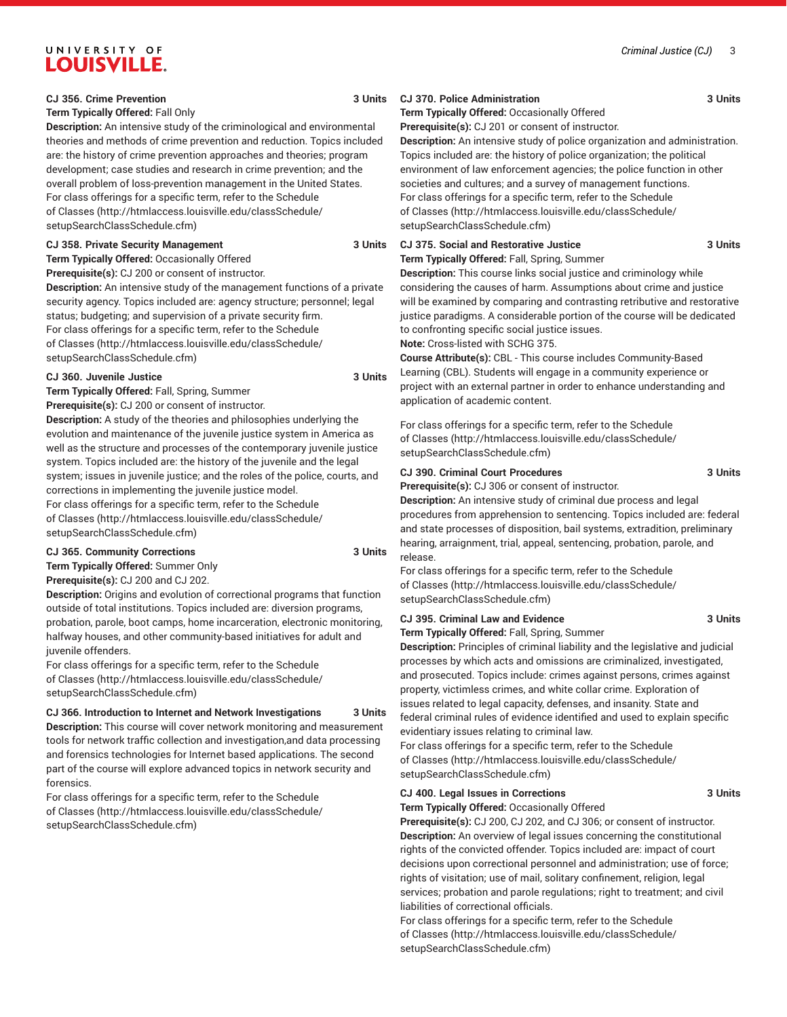#### *Criminal Justice (CJ)* 3

### UNIVERSITY OF **LOUISVILLE.**

#### **CJ 356. Crime Prevention 3 Units**

#### **Term Typically Offered:** Fall Only

**Description:** An intensive study of the criminological and environmental theories and methods of crime prevention and reduction. Topics included are: the history of crime prevention approaches and theories; program development; case studies and research in crime prevention; and the overall problem of loss-prevention management in the United States. For class offerings for a specific term, refer to the [Schedule](http://htmlaccess.louisville.edu/classSchedule/setupSearchClassSchedule.cfm) [of Classes \(http://htmlaccess.louisville.edu/classSchedule/](http://htmlaccess.louisville.edu/classSchedule/setupSearchClassSchedule.cfm) [setupSearchClassSchedule.cfm\)](http://htmlaccess.louisville.edu/classSchedule/setupSearchClassSchedule.cfm)

#### **CJ 358. Private Security Management 3 Units**

**Term Typically Offered:** Occasionally Offered

**Prerequisite(s):** CJ 200 or consent of instructor.

**Description:** An intensive study of the management functions of a private security agency. Topics included are: agency structure; personnel; legal status; budgeting; and supervision of a private security firm. For class offerings for a specific term, refer to the [Schedule](http://htmlaccess.louisville.edu/classSchedule/setupSearchClassSchedule.cfm) [of Classes \(http://htmlaccess.louisville.edu/classSchedule/](http://htmlaccess.louisville.edu/classSchedule/setupSearchClassSchedule.cfm) [setupSearchClassSchedule.cfm\)](http://htmlaccess.louisville.edu/classSchedule/setupSearchClassSchedule.cfm)

#### **CJ 360. Juvenile Justice 3 Units**

**Term Typically Offered:** Fall, Spring, Summer

**Prerequisite(s):** CJ 200 or consent of instructor.

**Description:** A study of the theories and philosophies underlying the evolution and maintenance of the juvenile justice system in America as well as the structure and processes of the contemporary juvenile justice system. Topics included are: the history of the juvenile and the legal system; issues in juvenile justice; and the roles of the police, courts, and corrections in implementing the juvenile justice model. For class offerings for a specific term, refer to the [Schedule](http://htmlaccess.louisville.edu/classSchedule/setupSearchClassSchedule.cfm)

[of Classes \(http://htmlaccess.louisville.edu/classSchedule/](http://htmlaccess.louisville.edu/classSchedule/setupSearchClassSchedule.cfm) [setupSearchClassSchedule.cfm\)](http://htmlaccess.louisville.edu/classSchedule/setupSearchClassSchedule.cfm)

#### **CJ 365. Community Corrections 3 Units**

**Term Typically Offered:** Summer Only **Prerequisite(s):** CJ 200 and CJ 202.

**Description:** Origins and evolution of correctional programs that function outside of total institutions. Topics included are: diversion programs, probation, parole, boot camps, home incarceration, electronic monitoring, halfway houses, and other community-based initiatives for adult and juvenile offenders.

For class offerings for a specific term, refer to the [Schedule](http://htmlaccess.louisville.edu/classSchedule/setupSearchClassSchedule.cfm) [of Classes \(http://htmlaccess.louisville.edu/classSchedule/](http://htmlaccess.louisville.edu/classSchedule/setupSearchClassSchedule.cfm) [setupSearchClassSchedule.cfm\)](http://htmlaccess.louisville.edu/classSchedule/setupSearchClassSchedule.cfm)

### **CJ 366. Introduction to Internet and Network Investigations 3 Units**

**Description:** This course will cover network monitoring and measurement tools for network traffic collection and investigation,and data processing and forensics technologies for Internet based applications. The second part of the course will explore advanced topics in network security and forensics.

For class offerings for a specific term, refer to the [Schedule](http://htmlaccess.louisville.edu/classSchedule/setupSearchClassSchedule.cfm) [of Classes \(http://htmlaccess.louisville.edu/classSchedule/](http://htmlaccess.louisville.edu/classSchedule/setupSearchClassSchedule.cfm) [setupSearchClassSchedule.cfm\)](http://htmlaccess.louisville.edu/classSchedule/setupSearchClassSchedule.cfm)

### **CJ 370. Police Administration 3 Units**

**Term Typically Offered:** Occasionally Offered

**Prerequisite(s):** CJ 201 or consent of instructor.

**Description:** An intensive study of police organization and administration. Topics included are: the history of police organization; the political environment of law enforcement agencies; the police function in other societies and cultures; and a survey of management functions. For class offerings for a specific term, refer to the [Schedule](http://htmlaccess.louisville.edu/classSchedule/setupSearchClassSchedule.cfm) [of Classes](http://htmlaccess.louisville.edu/classSchedule/setupSearchClassSchedule.cfm) ([http://htmlaccess.louisville.edu/classSchedule/](http://htmlaccess.louisville.edu/classSchedule/setupSearchClassSchedule.cfm) [setupSearchClassSchedule.cfm\)](http://htmlaccess.louisville.edu/classSchedule/setupSearchClassSchedule.cfm)

#### **CJ 375. Social and Restorative Justice 3 Units**

**Term Typically Offered:** Fall, Spring, Summer

**Description:** This course links social justice and criminology while considering the causes of harm. Assumptions about crime and justice will be examined by comparing and contrasting retributive and restorative justice paradigms. A considerable portion of the course will be dedicated to confronting specific social justice issues.

**Note:** Cross-listed with SCHG 375.

**Course Attribute(s):** CBL - This course includes Community-Based Learning (CBL). Students will engage in a community experience or project with an external partner in order to enhance understanding and application of academic content.

For class offerings for a specific term, refer to the [Schedule](http://htmlaccess.louisville.edu/classSchedule/setupSearchClassSchedule.cfm) [of Classes](http://htmlaccess.louisville.edu/classSchedule/setupSearchClassSchedule.cfm) ([http://htmlaccess.louisville.edu/classSchedule/](http://htmlaccess.louisville.edu/classSchedule/setupSearchClassSchedule.cfm) [setupSearchClassSchedule.cfm\)](http://htmlaccess.louisville.edu/classSchedule/setupSearchClassSchedule.cfm)

#### **CJ 390. Criminal Court Procedures 3 Units**

**Prerequisite(s):** CJ 306 or consent of instructor.

**Description:** An intensive study of criminal due process and legal procedures from apprehension to sentencing. Topics included are: federal and state processes of disposition, bail systems, extradition, preliminary hearing, arraignment, trial, appeal, sentencing, probation, parole, and release.

For class offerings for a specific term, refer to the [Schedule](http://htmlaccess.louisville.edu/classSchedule/setupSearchClassSchedule.cfm) [of Classes](http://htmlaccess.louisville.edu/classSchedule/setupSearchClassSchedule.cfm) ([http://htmlaccess.louisville.edu/classSchedule/](http://htmlaccess.louisville.edu/classSchedule/setupSearchClassSchedule.cfm) [setupSearchClassSchedule.cfm\)](http://htmlaccess.louisville.edu/classSchedule/setupSearchClassSchedule.cfm)

#### **CJ 395. Criminal Law and Evidence 3 Units**

**Term Typically Offered:** Fall, Spring, Summer

**Description:** Principles of criminal liability and the legislative and judicial processes by which acts and omissions are criminalized, investigated, and prosecuted. Topics include: crimes against persons, crimes against property, victimless crimes, and white collar crime. Exploration of issues related to legal capacity, defenses, and insanity. State and federal criminal rules of evidence identified and used to explain specific evidentiary issues relating to criminal law.

For class offerings for a specific term, refer to the [Schedule](http://htmlaccess.louisville.edu/classSchedule/setupSearchClassSchedule.cfm) [of Classes](http://htmlaccess.louisville.edu/classSchedule/setupSearchClassSchedule.cfm) ([http://htmlaccess.louisville.edu/classSchedule/](http://htmlaccess.louisville.edu/classSchedule/setupSearchClassSchedule.cfm) [setupSearchClassSchedule.cfm\)](http://htmlaccess.louisville.edu/classSchedule/setupSearchClassSchedule.cfm)

#### **CJ 400. Legal Issues in Corrections 3 Units Term Typically Offered:** Occasionally Offered

**Prerequisite(s):** CJ 200, CJ 202, and CJ 306; or consent of instructor. **Description:** An overview of legal issues concerning the constitutional rights of the convicted offender. Topics included are: impact of court decisions upon correctional personnel and administration; use of force; rights of visitation; use of mail, solitary confinement, religion, legal services; probation and parole regulations; right to treatment; and civil

liabilities of correctional officials. For class offerings for a specific term, refer to the [Schedule](http://htmlaccess.louisville.edu/classSchedule/setupSearchClassSchedule.cfm) [of Classes](http://htmlaccess.louisville.edu/classSchedule/setupSearchClassSchedule.cfm) ([http://htmlaccess.louisville.edu/classSchedule/](http://htmlaccess.louisville.edu/classSchedule/setupSearchClassSchedule.cfm)

[setupSearchClassSchedule.cfm\)](http://htmlaccess.louisville.edu/classSchedule/setupSearchClassSchedule.cfm)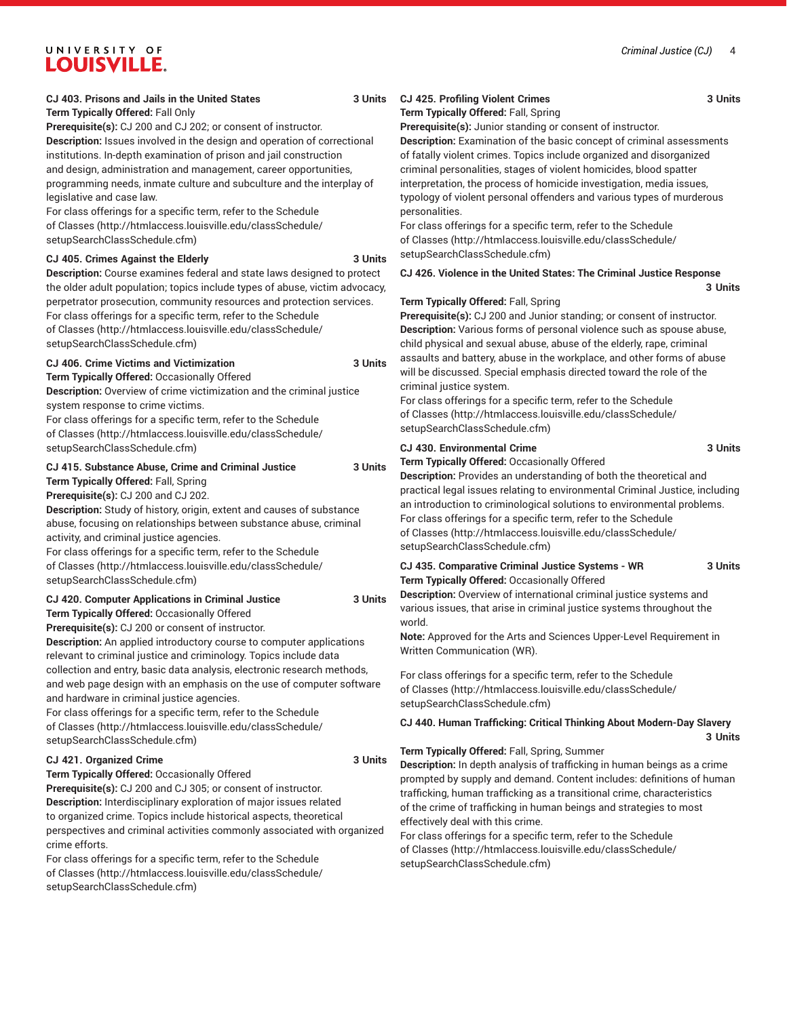#### *Criminal Justice (CJ)* 4

## UNIVERSITY OF **LOUISVILLE.**

### **CJ 403. Prisons and Jails in the United States 3 Units**

#### **Term Typically Offered:** Fall Only

**Prerequisite(s):** CJ 200 and CJ 202; or consent of instructor. **Description:** Issues involved in the design and operation of correctional institutions. In-depth examination of prison and jail construction and design, administration and management, career opportunities, programming needs, inmate culture and subculture and the interplay of legislative and case law.

For class offerings for a specific term, refer to the [Schedule](http://htmlaccess.louisville.edu/classSchedule/setupSearchClassSchedule.cfm) [of Classes \(http://htmlaccess.louisville.edu/classSchedule/](http://htmlaccess.louisville.edu/classSchedule/setupSearchClassSchedule.cfm) [setupSearchClassSchedule.cfm\)](http://htmlaccess.louisville.edu/classSchedule/setupSearchClassSchedule.cfm)

#### **CJ 405. Crimes Against the Elderly 3 Units**

**Description:** Course examines federal and state laws designed to protect the older adult population; topics include types of abuse, victim advocacy, perpetrator prosecution, community resources and protection services. For class offerings for a specific term, refer to the [Schedule](http://htmlaccess.louisville.edu/classSchedule/setupSearchClassSchedule.cfm) [of Classes \(http://htmlaccess.louisville.edu/classSchedule/](http://htmlaccess.louisville.edu/classSchedule/setupSearchClassSchedule.cfm) [setupSearchClassSchedule.cfm\)](http://htmlaccess.louisville.edu/classSchedule/setupSearchClassSchedule.cfm)

#### **CJ 406. Crime Victims and Victimization 3 Units**

**Term Typically Offered:** Occasionally Offered

**Description:** Overview of crime victimization and the criminal justice system response to crime victims.

For class offerings for a specific term, refer to the [Schedule](http://htmlaccess.louisville.edu/classSchedule/setupSearchClassSchedule.cfm) [of Classes \(http://htmlaccess.louisville.edu/classSchedule/](http://htmlaccess.louisville.edu/classSchedule/setupSearchClassSchedule.cfm) [setupSearchClassSchedule.cfm\)](http://htmlaccess.louisville.edu/classSchedule/setupSearchClassSchedule.cfm)

**CJ 415. Substance Abuse, Crime and Criminal Justice 3 Units Term Typically Offered:** Fall, Spring

**Prerequisite(s):** CJ 200 and CJ 202.

**Description:** Study of history, origin, extent and causes of substance abuse, focusing on relationships between substance abuse, criminal activity, and criminal justice agencies.

For class offerings for a specific term, refer to the [Schedule](http://htmlaccess.louisville.edu/classSchedule/setupSearchClassSchedule.cfm) [of Classes \(http://htmlaccess.louisville.edu/classSchedule/](http://htmlaccess.louisville.edu/classSchedule/setupSearchClassSchedule.cfm) [setupSearchClassSchedule.cfm\)](http://htmlaccess.louisville.edu/classSchedule/setupSearchClassSchedule.cfm)

#### **CJ 420. Computer Applications in Criminal Justice 3 Units Term Typically Offered:** Occasionally Offered

**Prerequisite(s):** CJ 200 or consent of instructor.

**Description:** An applied introductory course to computer applications relevant to criminal justice and criminology. Topics include data collection and entry, basic data analysis, electronic research methods, and web page design with an emphasis on the use of computer software and hardware in criminal justice agencies.

For class offerings for a specific term, refer to the [Schedule](http://htmlaccess.louisville.edu/classSchedule/setupSearchClassSchedule.cfm) [of Classes \(http://htmlaccess.louisville.edu/classSchedule/](http://htmlaccess.louisville.edu/classSchedule/setupSearchClassSchedule.cfm) [setupSearchClassSchedule.cfm\)](http://htmlaccess.louisville.edu/classSchedule/setupSearchClassSchedule.cfm)

#### **CJ 421. Organized Crime 3 Units**

**Term Typically Offered:** Occasionally Offered **Prerequisite(s):** CJ 200 and CJ 305; or consent of instructor. **Description:** Interdisciplinary exploration of major issues related to organized crime. Topics include historical aspects, theoretical perspectives and criminal activities commonly associated with organized crime efforts.

For class offerings for a specific term, refer to the [Schedule](http://htmlaccess.louisville.edu/classSchedule/setupSearchClassSchedule.cfm) [of Classes \(http://htmlaccess.louisville.edu/classSchedule/](http://htmlaccess.louisville.edu/classSchedule/setupSearchClassSchedule.cfm) [setupSearchClassSchedule.cfm\)](http://htmlaccess.louisville.edu/classSchedule/setupSearchClassSchedule.cfm)

### **CJ 425. Profiling Violent Crimes 3 Units**

**Term Typically Offered:** Fall, Spring

**Prerequisite(s):** Junior standing or consent of instructor. **Description:** Examination of the basic concept of criminal assessments of fatally violent crimes. Topics include organized and disorganized criminal personalities, stages of violent homicides, blood spatter interpretation, the process of homicide investigation, media issues, typology of violent personal offenders and various types of murderous

personalities. For class offerings for a specific term, refer to the [Schedule](http://htmlaccess.louisville.edu/classSchedule/setupSearchClassSchedule.cfm)

[of Classes](http://htmlaccess.louisville.edu/classSchedule/setupSearchClassSchedule.cfm) ([http://htmlaccess.louisville.edu/classSchedule/](http://htmlaccess.louisville.edu/classSchedule/setupSearchClassSchedule.cfm) [setupSearchClassSchedule.cfm\)](http://htmlaccess.louisville.edu/classSchedule/setupSearchClassSchedule.cfm)

**CJ 426. Violence in the United States: The Criminal Justice Response 3 Units**

#### **Term Typically Offered:** Fall, Spring

**Prerequisite(s):** CJ 200 and Junior standing; or consent of instructor. **Description:** Various forms of personal violence such as spouse abuse, child physical and sexual abuse, abuse of the elderly, rape, criminal assaults and battery, abuse in the workplace, and other forms of abuse will be discussed. Special emphasis directed toward the role of the criminal justice system.

For class offerings for a specific term, refer to the [Schedule](http://htmlaccess.louisville.edu/classSchedule/setupSearchClassSchedule.cfm) [of Classes](http://htmlaccess.louisville.edu/classSchedule/setupSearchClassSchedule.cfm) ([http://htmlaccess.louisville.edu/classSchedule/](http://htmlaccess.louisville.edu/classSchedule/setupSearchClassSchedule.cfm) [setupSearchClassSchedule.cfm\)](http://htmlaccess.louisville.edu/classSchedule/setupSearchClassSchedule.cfm)

#### **CJ 430. Environmental Crime 3 Units**

**Term Typically Offered:** Occasionally Offered

**Description:** Provides an understanding of both the theoretical and practical legal issues relating to environmental Criminal Justice, including an introduction to criminological solutions to environmental problems. For class offerings for a specific term, refer to the [Schedule](http://htmlaccess.louisville.edu/classSchedule/setupSearchClassSchedule.cfm) [of Classes](http://htmlaccess.louisville.edu/classSchedule/setupSearchClassSchedule.cfm) ([http://htmlaccess.louisville.edu/classSchedule/](http://htmlaccess.louisville.edu/classSchedule/setupSearchClassSchedule.cfm) [setupSearchClassSchedule.cfm\)](http://htmlaccess.louisville.edu/classSchedule/setupSearchClassSchedule.cfm)

#### **CJ 435. Comparative Criminal Justice Systems - WR 3 Units Term Typically Offered:** Occasionally Offered

**Description:** Overview of international criminal justice systems and various issues, that arise in criminal justice systems throughout the world.

**Note:** Approved for the Arts and Sciences Upper-Level Requirement in Written Communication (WR).

For class offerings for a specific term, refer to the [Schedule](http://htmlaccess.louisville.edu/classSchedule/setupSearchClassSchedule.cfm) [of Classes](http://htmlaccess.louisville.edu/classSchedule/setupSearchClassSchedule.cfm) ([http://htmlaccess.louisville.edu/classSchedule/](http://htmlaccess.louisville.edu/classSchedule/setupSearchClassSchedule.cfm) [setupSearchClassSchedule.cfm\)](http://htmlaccess.louisville.edu/classSchedule/setupSearchClassSchedule.cfm)

#### **CJ 440. Human Trafficking: Critical Thinking About Modern-Day Slavery 3 Units**

#### **Term Typically Offered:** Fall, Spring, Summer

**Description:** In depth analysis of trafficking in human beings as a crime prompted by supply and demand. Content includes: definitions of human trafficking, human trafficking as a transitional crime, characteristics of the crime of trafficking in human beings and strategies to most effectively deal with this crime.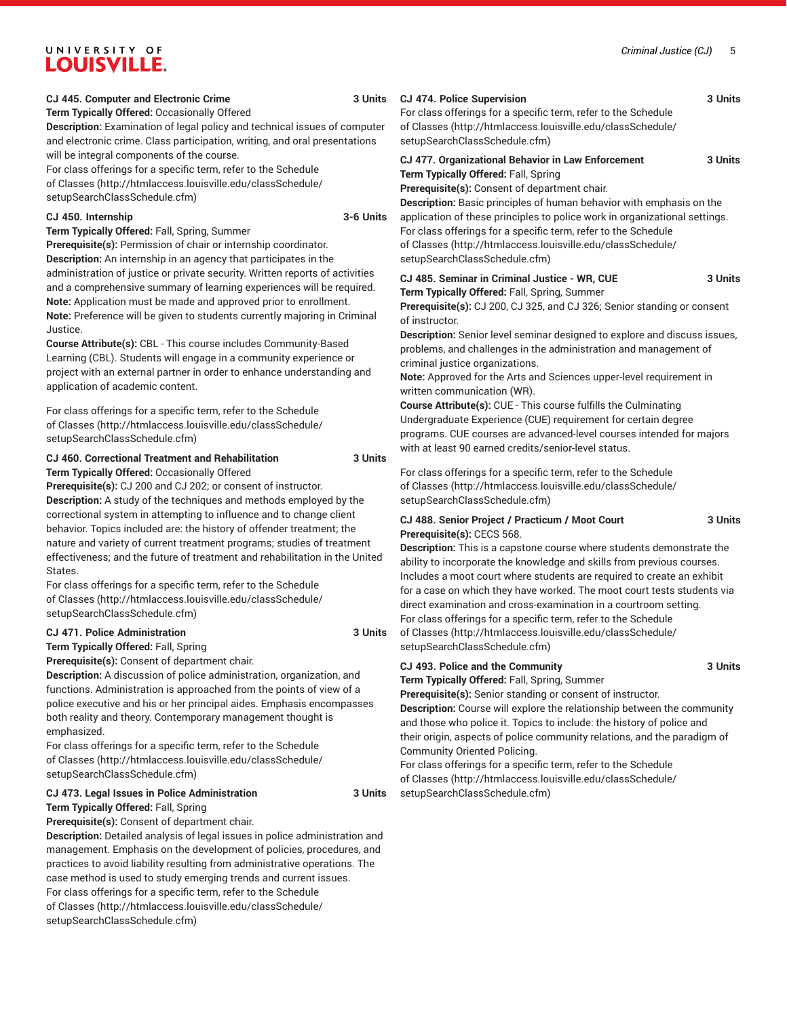#### *Criminal Justice (CJ)* 5

### UNIVERSITY OF **LOUISVILLE.**

#### **CJ 445. Computer and Electronic Crime 3 Units**

**Term Typically Offered:** Occasionally Offered

**Description:** Examination of legal policy and technical issues of computer and electronic crime. Class participation, writing, and oral presentations will be integral components of the course.

For class offerings for a specific term, refer to the [Schedule](http://htmlaccess.louisville.edu/classSchedule/setupSearchClassSchedule.cfm) [of Classes \(http://htmlaccess.louisville.edu/classSchedule/](http://htmlaccess.louisville.edu/classSchedule/setupSearchClassSchedule.cfm) [setupSearchClassSchedule.cfm\)](http://htmlaccess.louisville.edu/classSchedule/setupSearchClassSchedule.cfm)

#### **CJ 450. Internship 3-6 Units**

**Term Typically Offered:** Fall, Spring, Summer **Prerequisite(s):** Permission of chair or internship coordinator. **Description:** An internship in an agency that participates in the administration of justice or private security. Written reports of activities and a comprehensive summary of learning experiences will be required. **Note:** Application must be made and approved prior to enrollment. **Note:** Preference will be given to students currently majoring in Criminal Justice.

**Course Attribute(s):** CBL - This course includes Community-Based Learning (CBL). Students will engage in a community experience or project with an external partner in order to enhance understanding and application of academic content.

For class offerings for a specific term, refer to the [Schedule](http://htmlaccess.louisville.edu/classSchedule/setupSearchClassSchedule.cfm) [of Classes \(http://htmlaccess.louisville.edu/classSchedule/](http://htmlaccess.louisville.edu/classSchedule/setupSearchClassSchedule.cfm) [setupSearchClassSchedule.cfm\)](http://htmlaccess.louisville.edu/classSchedule/setupSearchClassSchedule.cfm)

### **CJ 460. Correctional Treatment and Rehabilitation 3 Units Term Typically Offered:** Occasionally Offered

**Prerequisite(s):** CJ 200 and CJ 202; or consent of instructor. **Description:** A study of the techniques and methods employed by the correctional system in attempting to influence and to change client behavior. Topics included are: the history of offender treatment; the nature and variety of current treatment programs; studies of treatment effectiveness; and the future of treatment and rehabilitation in the United States.

For class offerings for a specific term, refer to the [Schedule](http://htmlaccess.louisville.edu/classSchedule/setupSearchClassSchedule.cfm) [of Classes \(http://htmlaccess.louisville.edu/classSchedule/](http://htmlaccess.louisville.edu/classSchedule/setupSearchClassSchedule.cfm) [setupSearchClassSchedule.cfm\)](http://htmlaccess.louisville.edu/classSchedule/setupSearchClassSchedule.cfm)

#### **CJ 471. Police Administration 3 Units**

**Term Typically Offered:** Fall, Spring **Prerequisite(s):** Consent of department chair.

**Description:** A discussion of police administration, organization, and functions. Administration is approached from the points of view of a police executive and his or her principal aides. Emphasis encompasses both reality and theory. Contemporary management thought is emphasized.

For class offerings for a specific term, refer to the [Schedule](http://htmlaccess.louisville.edu/classSchedule/setupSearchClassSchedule.cfm) [of Classes \(http://htmlaccess.louisville.edu/classSchedule/](http://htmlaccess.louisville.edu/classSchedule/setupSearchClassSchedule.cfm) [setupSearchClassSchedule.cfm\)](http://htmlaccess.louisville.edu/classSchedule/setupSearchClassSchedule.cfm)

#### **CJ 473. Legal Issues in Police Administration 3 Units**

**Term Typically Offered:** Fall, Spring

**Prerequisite(s):** Consent of department chair. **Description:** Detailed analysis of legal issues in police administration and management. Emphasis on the development of policies, procedures, and practices to avoid liability resulting from administrative operations. The case method is used to study emerging trends and current issues. For class offerings for a specific term, refer to the [Schedule](http://htmlaccess.louisville.edu/classSchedule/setupSearchClassSchedule.cfm) [of Classes \(http://htmlaccess.louisville.edu/classSchedule/](http://htmlaccess.louisville.edu/classSchedule/setupSearchClassSchedule.cfm) [setupSearchClassSchedule.cfm\)](http://htmlaccess.louisville.edu/classSchedule/setupSearchClassSchedule.cfm)

#### **CJ 474. Police Supervision 3 Units**

For class offerings for a specific term, refer to the [Schedule](http://htmlaccess.louisville.edu/classSchedule/setupSearchClassSchedule.cfm) [of Classes](http://htmlaccess.louisville.edu/classSchedule/setupSearchClassSchedule.cfm) ([http://htmlaccess.louisville.edu/classSchedule/](http://htmlaccess.louisville.edu/classSchedule/setupSearchClassSchedule.cfm) [setupSearchClassSchedule.cfm\)](http://htmlaccess.louisville.edu/classSchedule/setupSearchClassSchedule.cfm)

### **CJ 477. Organizational Behavior in Law Enforcement 3 Units**

**Term Typically Offered:** Fall, Spring

**Prerequisite(s):** Consent of department chair.

**Description:** Basic principles of human behavior with emphasis on the application of these principles to police work in organizational settings. For class offerings for a specific term, refer to the [Schedule](http://htmlaccess.louisville.edu/classSchedule/setupSearchClassSchedule.cfm) [of Classes](http://htmlaccess.louisville.edu/classSchedule/setupSearchClassSchedule.cfm) ([http://htmlaccess.louisville.edu/classSchedule/](http://htmlaccess.louisville.edu/classSchedule/setupSearchClassSchedule.cfm) [setupSearchClassSchedule.cfm\)](http://htmlaccess.louisville.edu/classSchedule/setupSearchClassSchedule.cfm)

**CJ 485. Seminar in Criminal Justice - WR, CUE 3 Units Term Typically Offered:** Fall, Spring, Summer

**Prerequisite(s):** CJ 200, CJ 325, and CJ 326; Senior standing or consent of instructor.

**Description:** Senior level seminar designed to explore and discuss issues, problems, and challenges in the administration and management of criminal justice organizations.

**Note:** Approved for the Arts and Sciences upper-level requirement in written communication (WR).

**Course Attribute(s):** CUE - This course fulfills the Culminating Undergraduate Experience (CUE) requirement for certain degree programs. CUE courses are advanced-level courses intended for majors with at least 90 earned credits/senior-level status.

For class offerings for a specific term, refer to the [Schedule](http://htmlaccess.louisville.edu/classSchedule/setupSearchClassSchedule.cfm) [of Classes](http://htmlaccess.louisville.edu/classSchedule/setupSearchClassSchedule.cfm) ([http://htmlaccess.louisville.edu/classSchedule/](http://htmlaccess.louisville.edu/classSchedule/setupSearchClassSchedule.cfm) [setupSearchClassSchedule.cfm\)](http://htmlaccess.louisville.edu/classSchedule/setupSearchClassSchedule.cfm)

#### **CJ 488. Senior Project / Practicum / Moot Court 3 Units Prerequisite(s):** CECS 568.

**Description:** This is a capstone course where students demonstrate the ability to incorporate the knowledge and skills from previous courses. Includes a moot court where students are required to create an exhibit for a case on which they have worked. The moot court tests students via direct examination and cross-examination in a courtroom setting. For class offerings for a specific term, refer to the [Schedule](http://htmlaccess.louisville.edu/classSchedule/setupSearchClassSchedule.cfm) [of Classes](http://htmlaccess.louisville.edu/classSchedule/setupSearchClassSchedule.cfm) ([http://htmlaccess.louisville.edu/classSchedule/](http://htmlaccess.louisville.edu/classSchedule/setupSearchClassSchedule.cfm) [setupSearchClassSchedule.cfm\)](http://htmlaccess.louisville.edu/classSchedule/setupSearchClassSchedule.cfm)

### **CJ 493. Police and the Community 3 Units Term Typically Offered:** Fall, Spring, Summer

**Prerequisite(s):** Senior standing or consent of instructor.

**Description:** Course will explore the relationship between the community and those who police it. Topics to include: the history of police and their origin, aspects of police community relations, and the paradigm of Community Oriented Policing.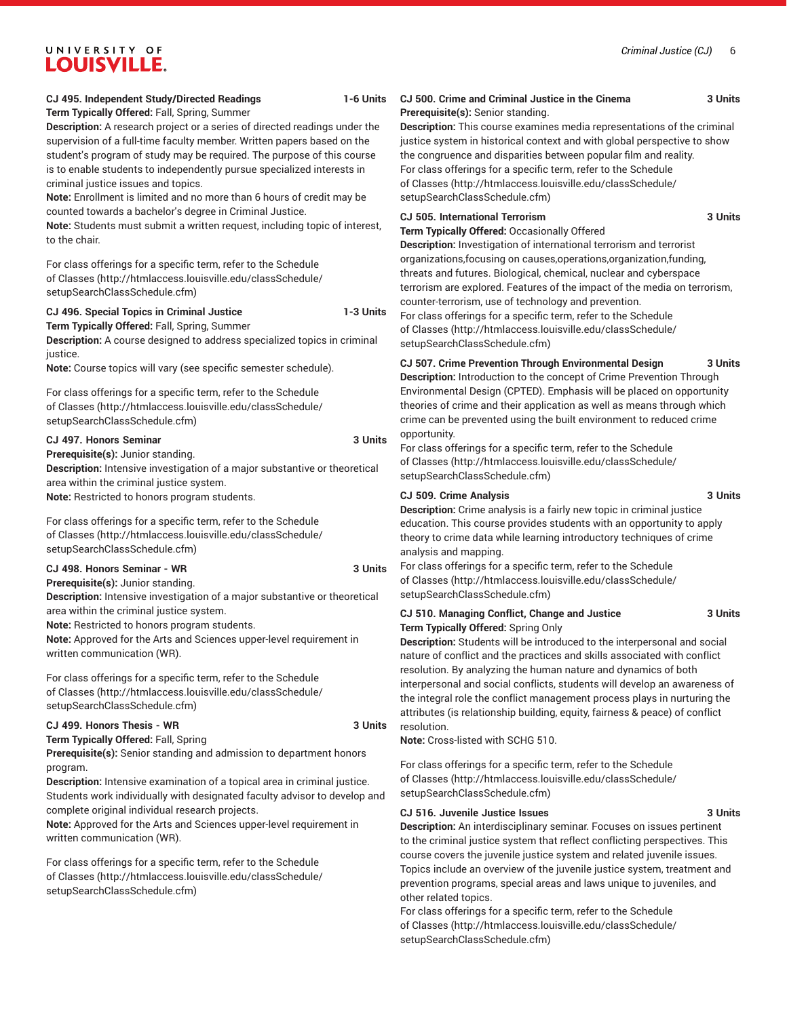### **Term Typically Offered:** Fall, Spring, Summer

**Description:** A research project or a series of directed readings under the supervision of a full-time faculty member. Written papers based on the student's program of study may be required. The purpose of this course is to enable students to independently pursue specialized interests in criminal justice issues and topics.

**Note:** Enrollment is limited and no more than 6 hours of credit may be counted towards a bachelor's degree in Criminal Justice.

**Note:** Students must submit a written request, including topic of interest, to the chair.

For class offerings for a specific term, refer to the [Schedule](http://htmlaccess.louisville.edu/classSchedule/setupSearchClassSchedule.cfm) [of Classes \(http://htmlaccess.louisville.edu/classSchedule/](http://htmlaccess.louisville.edu/classSchedule/setupSearchClassSchedule.cfm) [setupSearchClassSchedule.cfm\)](http://htmlaccess.louisville.edu/classSchedule/setupSearchClassSchedule.cfm)

#### **CJ 496. Special Topics in Criminal Justice 1-3 Units Term Typically Offered:** Fall, Spring, Summer

**Description:** A course designed to address specialized topics in criminal justice.

**Note:** Course topics will vary (see specific semester schedule).

For class offerings for a specific term, refer to the [Schedule](http://htmlaccess.louisville.edu/classSchedule/setupSearchClassSchedule.cfm) [of Classes \(http://htmlaccess.louisville.edu/classSchedule/](http://htmlaccess.louisville.edu/classSchedule/setupSearchClassSchedule.cfm) [setupSearchClassSchedule.cfm\)](http://htmlaccess.louisville.edu/classSchedule/setupSearchClassSchedule.cfm)

#### **CJ 497. Honors Seminar 3 Units**

**Prerequisite(s):** Junior standing.

**Description:** Intensive investigation of a major substantive or theoretical area within the criminal justice system.

**Note:** Restricted to honors program students.

For class offerings for a specific term, refer to the [Schedule](http://htmlaccess.louisville.edu/classSchedule/setupSearchClassSchedule.cfm) [of Classes \(http://htmlaccess.louisville.edu/classSchedule/](http://htmlaccess.louisville.edu/classSchedule/setupSearchClassSchedule.cfm) [setupSearchClassSchedule.cfm\)](http://htmlaccess.louisville.edu/classSchedule/setupSearchClassSchedule.cfm)

#### **CJ 498. Honors Seminar - WR 3 Units Prerequisite(s):** Junior standing.

**Description:** Intensive investigation of a major substantive or theoretical area within the criminal justice system.

**Note:** Restricted to honors program students.

**Note:** Approved for the Arts and Sciences upper-level requirement in written communication (WR).

For class offerings for a specific term, refer to the [Schedule](http://htmlaccess.louisville.edu/classSchedule/setupSearchClassSchedule.cfm) [of Classes \(http://htmlaccess.louisville.edu/classSchedule/](http://htmlaccess.louisville.edu/classSchedule/setupSearchClassSchedule.cfm) [setupSearchClassSchedule.cfm\)](http://htmlaccess.louisville.edu/classSchedule/setupSearchClassSchedule.cfm)

#### **CJ 499. Honors Thesis - WR 3 Units**

**Term Typically Offered:** Fall, Spring **Prerequisite(s):** Senior standing and admission to department honors program.

**Description:** Intensive examination of a topical area in criminal justice. Students work individually with designated faculty advisor to develop and complete original individual research projects.

**Note:** Approved for the Arts and Sciences upper-level requirement in written communication (WR).

For class offerings for a specific term, refer to the [Schedule](http://htmlaccess.louisville.edu/classSchedule/setupSearchClassSchedule.cfm) [of Classes \(http://htmlaccess.louisville.edu/classSchedule/](http://htmlaccess.louisville.edu/classSchedule/setupSearchClassSchedule.cfm) [setupSearchClassSchedule.cfm\)](http://htmlaccess.louisville.edu/classSchedule/setupSearchClassSchedule.cfm)

#### **CJ 500. Crime and Criminal Justice in the Cinema 3 Units Prerequisite(s):** Senior standing.

**Description:** This course examines media representations of the criminal justice system in historical context and with global perspective to show the congruence and disparities between popular film and reality. For class offerings for a specific term, refer to the [Schedule](http://htmlaccess.louisville.edu/classSchedule/setupSearchClassSchedule.cfm) [of Classes](http://htmlaccess.louisville.edu/classSchedule/setupSearchClassSchedule.cfm) ([http://htmlaccess.louisville.edu/classSchedule/](http://htmlaccess.louisville.edu/classSchedule/setupSearchClassSchedule.cfm) [setupSearchClassSchedule.cfm\)](http://htmlaccess.louisville.edu/classSchedule/setupSearchClassSchedule.cfm)

#### **CJ 505. International Terrorism 3 Units**

**Term Typically Offered:** Occasionally Offered

**Description:** Investigation of international terrorism and terrorist organizations,focusing on causes,operations,organization,funding, threats and futures. Biological, chemical, nuclear and cyberspace terrorism are explored. Features of the impact of the media on terrorism, counter-terrorism, use of technology and prevention.

For class offerings for a specific term, refer to the [Schedule](http://htmlaccess.louisville.edu/classSchedule/setupSearchClassSchedule.cfm) [of Classes](http://htmlaccess.louisville.edu/classSchedule/setupSearchClassSchedule.cfm) ([http://htmlaccess.louisville.edu/classSchedule/](http://htmlaccess.louisville.edu/classSchedule/setupSearchClassSchedule.cfm) [setupSearchClassSchedule.cfm\)](http://htmlaccess.louisville.edu/classSchedule/setupSearchClassSchedule.cfm)

#### **CJ 507. Crime Prevention Through Environmental Design 3 Units**

**Description:** Introduction to the concept of Crime Prevention Through Environmental Design (CPTED). Emphasis will be placed on opportunity theories of crime and their application as well as means through which crime can be prevented using the built environment to reduced crime opportunity.

For class offerings for a specific term, refer to the [Schedule](http://htmlaccess.louisville.edu/classSchedule/setupSearchClassSchedule.cfm) [of Classes](http://htmlaccess.louisville.edu/classSchedule/setupSearchClassSchedule.cfm) ([http://htmlaccess.louisville.edu/classSchedule/](http://htmlaccess.louisville.edu/classSchedule/setupSearchClassSchedule.cfm) [setupSearchClassSchedule.cfm\)](http://htmlaccess.louisville.edu/classSchedule/setupSearchClassSchedule.cfm)

#### **CJ 509. Crime Analysis 3 Units**

**Description:** Crime analysis is a fairly new topic in criminal justice education. This course provides students with an opportunity to apply theory to crime data while learning introductory techniques of crime analysis and mapping.

For class offerings for a specific term, refer to the [Schedule](http://htmlaccess.louisville.edu/classSchedule/setupSearchClassSchedule.cfm) [of Classes](http://htmlaccess.louisville.edu/classSchedule/setupSearchClassSchedule.cfm) ([http://htmlaccess.louisville.edu/classSchedule/](http://htmlaccess.louisville.edu/classSchedule/setupSearchClassSchedule.cfm) [setupSearchClassSchedule.cfm\)](http://htmlaccess.louisville.edu/classSchedule/setupSearchClassSchedule.cfm)

#### **CJ 510. Managing Conflict, Change and Justice 3 Units Term Typically Offered:** Spring Only

**Description:** Students will be introduced to the interpersonal and social nature of conflict and the practices and skills associated with conflict resolution. By analyzing the human nature and dynamics of both interpersonal and social conflicts, students will develop an awareness of the integral role the conflict management process plays in nurturing the attributes (is relationship building, equity, fairness & peace) of conflict resolution.

**Note:** Cross-listed with SCHG 510.

For class offerings for a specific term, refer to the [Schedule](http://htmlaccess.louisville.edu/classSchedule/setupSearchClassSchedule.cfm) [of Classes](http://htmlaccess.louisville.edu/classSchedule/setupSearchClassSchedule.cfm) ([http://htmlaccess.louisville.edu/classSchedule/](http://htmlaccess.louisville.edu/classSchedule/setupSearchClassSchedule.cfm) [setupSearchClassSchedule.cfm\)](http://htmlaccess.louisville.edu/classSchedule/setupSearchClassSchedule.cfm)

#### **CJ 516. Juvenile Justice Issues 3 Units**

**Description:** An interdisciplinary seminar. Focuses on issues pertinent to the criminal justice system that reflect conflicting perspectives. This course covers the juvenile justice system and related juvenile issues. Topics include an overview of the juvenile justice system, treatment and prevention programs, special areas and laws unique to juveniles, and other related topics.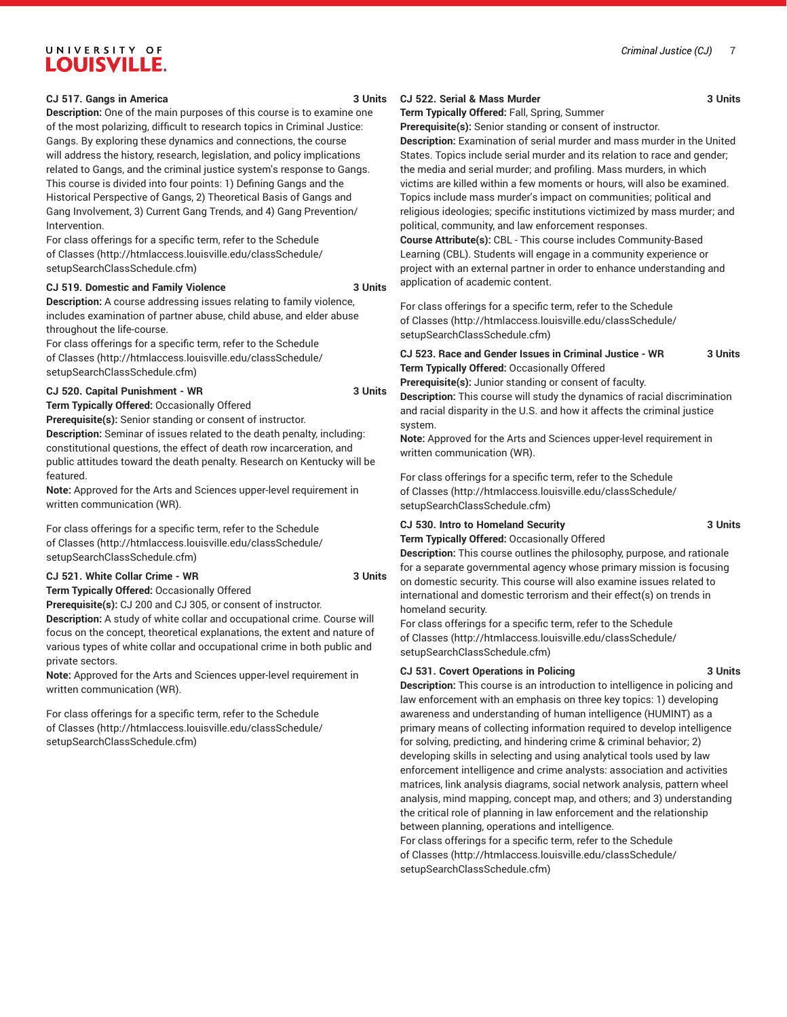#### **CJ 517. Gangs in America 3 Units**

**Description:** One of the main purposes of this course is to examine one of the most polarizing, difficult to research topics in Criminal Justice: Gangs. By exploring these dynamics and connections, the course will address the history, research, legislation, and policy implications related to Gangs, and the criminal justice system's response to Gangs. This course is divided into four points: 1) Defining Gangs and the Historical Perspective of Gangs, 2) Theoretical Basis of Gangs and Gang Involvement, 3) Current Gang Trends, and 4) Gang Prevention/ Intervention.

For class offerings for a specific term, refer to the [Schedule](http://htmlaccess.louisville.edu/classSchedule/setupSearchClassSchedule.cfm) [of Classes \(http://htmlaccess.louisville.edu/classSchedule/](http://htmlaccess.louisville.edu/classSchedule/setupSearchClassSchedule.cfm) [setupSearchClassSchedule.cfm\)](http://htmlaccess.louisville.edu/classSchedule/setupSearchClassSchedule.cfm)

#### **CJ 519. Domestic and Family Violence 3 Units**

**Description:** A course addressing issues relating to family violence, includes examination of partner abuse, child abuse, and elder abuse throughout the life-course.

For class offerings for a specific term, refer to the [Schedule](http://htmlaccess.louisville.edu/classSchedule/setupSearchClassSchedule.cfm) [of Classes \(http://htmlaccess.louisville.edu/classSchedule/](http://htmlaccess.louisville.edu/classSchedule/setupSearchClassSchedule.cfm) [setupSearchClassSchedule.cfm\)](http://htmlaccess.louisville.edu/classSchedule/setupSearchClassSchedule.cfm)

#### **CJ 520. Capital Punishment - WR 3 Units**

**Term Typically Offered:** Occasionally Offered

**Prerequisite(s):** Senior standing or consent of instructor. **Description:** Seminar of issues related to the death penalty, including: constitutional questions, the effect of death row incarceration, and public attitudes toward the death penalty. Research on Kentucky will be featured.

**Note:** Approved for the Arts and Sciences upper-level requirement in written communication (WR).

For class offerings for a specific term, refer to the [Schedule](http://htmlaccess.louisville.edu/classSchedule/setupSearchClassSchedule.cfm) [of Classes \(http://htmlaccess.louisville.edu/classSchedule/](http://htmlaccess.louisville.edu/classSchedule/setupSearchClassSchedule.cfm) [setupSearchClassSchedule.cfm\)](http://htmlaccess.louisville.edu/classSchedule/setupSearchClassSchedule.cfm)

#### **CJ 521. White Collar Crime - WR 3 Units**

**Term Typically Offered:** Occasionally Offered

**Prerequisite(s):** CJ 200 and CJ 305, or consent of instructor. **Description:** A study of white collar and occupational crime. Course will focus on the concept, theoretical explanations, the extent and nature of various types of white collar and occupational crime in both public and private sectors.

**Note:** Approved for the Arts and Sciences upper-level requirement in written communication (WR).

For class offerings for a specific term, refer to the [Schedule](http://htmlaccess.louisville.edu/classSchedule/setupSearchClassSchedule.cfm) [of Classes \(http://htmlaccess.louisville.edu/classSchedule/](http://htmlaccess.louisville.edu/classSchedule/setupSearchClassSchedule.cfm) [setupSearchClassSchedule.cfm\)](http://htmlaccess.louisville.edu/classSchedule/setupSearchClassSchedule.cfm)

#### **CJ 522. Serial & Mass Murder 3 Units**

**Term Typically Offered:** Fall, Spring, Summer

**Prerequisite(s):** Senior standing or consent of instructor. **Description:** Examination of serial murder and mass murder in the United States. Topics include serial murder and its relation to race and gender; the media and serial murder; and profiling. Mass murders, in which victims are killed within a few moments or hours, will also be examined. Topics include mass murder's impact on communities; political and religious ideologies; specific institutions victimized by mass murder; and political, community, and law enforcement responses.

**Course Attribute(s):** CBL - This course includes Community-Based Learning (CBL). Students will engage in a community experience or project with an external partner in order to enhance understanding and application of academic content.

For class offerings for a specific term, refer to the [Schedule](http://htmlaccess.louisville.edu/classSchedule/setupSearchClassSchedule.cfm) [of Classes](http://htmlaccess.louisville.edu/classSchedule/setupSearchClassSchedule.cfm) ([http://htmlaccess.louisville.edu/classSchedule/](http://htmlaccess.louisville.edu/classSchedule/setupSearchClassSchedule.cfm) [setupSearchClassSchedule.cfm\)](http://htmlaccess.louisville.edu/classSchedule/setupSearchClassSchedule.cfm)

**CJ 523. Race and Gender Issues in Criminal Justice - WR 3 Units**

**Prerequisite(s):** Junior standing or consent of faculty.

**Description:** This course will study the dynamics of racial discrimination and racial disparity in the U.S. and how it affects the criminal justice system.

**Note:** Approved for the Arts and Sciences upper-level requirement in written communication (WR).

For class offerings for a specific term, refer to the [Schedule](http://htmlaccess.louisville.edu/classSchedule/setupSearchClassSchedule.cfm) [of Classes](http://htmlaccess.louisville.edu/classSchedule/setupSearchClassSchedule.cfm) ([http://htmlaccess.louisville.edu/classSchedule/](http://htmlaccess.louisville.edu/classSchedule/setupSearchClassSchedule.cfm) [setupSearchClassSchedule.cfm\)](http://htmlaccess.louisville.edu/classSchedule/setupSearchClassSchedule.cfm)

### **CJ 530. Intro to Homeland Security 3 Units**

**Term Typically Offered:** Occasionally Offered

**Description:** This course outlines the philosophy, purpose, and rationale for a separate governmental agency whose primary mission is focusing on domestic security. This course will also examine issues related to international and domestic terrorism and their effect(s) on trends in homeland security.

For class offerings for a specific term, refer to the [Schedule](http://htmlaccess.louisville.edu/classSchedule/setupSearchClassSchedule.cfm) [of Classes](http://htmlaccess.louisville.edu/classSchedule/setupSearchClassSchedule.cfm) ([http://htmlaccess.louisville.edu/classSchedule/](http://htmlaccess.louisville.edu/classSchedule/setupSearchClassSchedule.cfm) [setupSearchClassSchedule.cfm\)](http://htmlaccess.louisville.edu/classSchedule/setupSearchClassSchedule.cfm)

#### **CJ 531. Covert Operations in Policing 3 Units**

**Description:** This course is an introduction to intelligence in policing and law enforcement with an emphasis on three key topics: 1) developing awareness and understanding of human intelligence (HUMINT) as a primary means of collecting information required to develop intelligence for solving, predicting, and hindering crime & criminal behavior; 2) developing skills in selecting and using analytical tools used by law enforcement intelligence and crime analysts: association and activities matrices, link analysis diagrams, social network analysis, pattern wheel analysis, mind mapping, concept map, and others; and 3) understanding the critical role of planning in law enforcement and the relationship between planning, operations and intelligence.

For class offerings for a specific term, refer to the [Schedule](http://htmlaccess.louisville.edu/classSchedule/setupSearchClassSchedule.cfm) [of Classes](http://htmlaccess.louisville.edu/classSchedule/setupSearchClassSchedule.cfm) ([http://htmlaccess.louisville.edu/classSchedule/](http://htmlaccess.louisville.edu/classSchedule/setupSearchClassSchedule.cfm) [setupSearchClassSchedule.cfm\)](http://htmlaccess.louisville.edu/classSchedule/setupSearchClassSchedule.cfm)

**Term Typically Offered:** Occasionally Offered